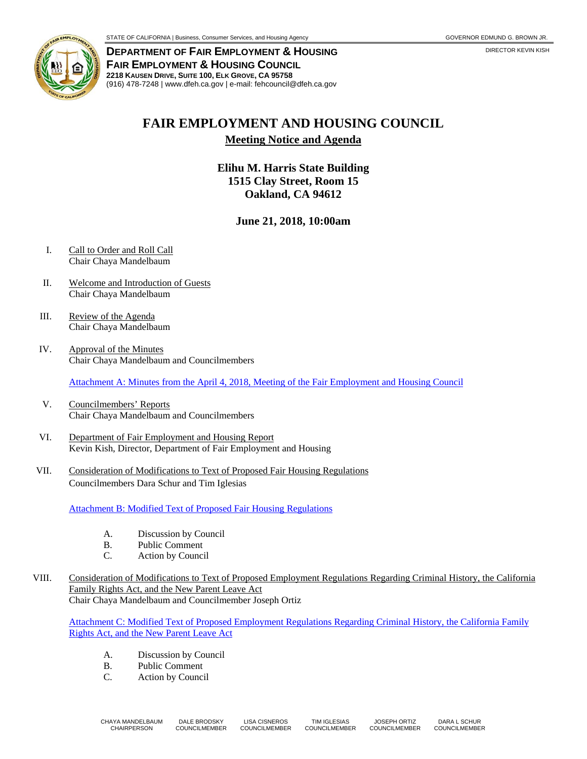

**DEPARTMENT OF FAIR EMPLOYMENT & HOUSING FAIR EMPLOYMENT & HOUSING COUNCIL 2218 KAUSEN DRIVE, SUITE 100, ELK GROVE, CA 95758**  (916) 478-7248 | www.dfeh.ca.gov | e-mail: fehcouncil@dfeh.ca.gov

## **FAIR EMPLOYMENT AND HOUSING COUNCIL**

**Meeting Notice and Agenda** 

**Elihu M. Harris State Building 1515 Clay Street, Room 15 Oakland, CA 94612** 

**June 21, 2018, 10:00am** 

- I. Call to Order and Roll Call Chair Chaya Mandelbaum
- II. Welcome and Introduction of Guests Chair Chaya Mandelbaum
- III. Review of the Agenda Chair Chaya Mandelbaum
- IV. Approval of the Minutes Chair Chaya Mandelbaum and Councilmembers

Attachment A: Minutes from the April 4, 2018, Meeting of the Fair Employment and Housing Council

- V. Councilmembers' Reports Chair Chaya Mandelbaum and Councilmembers
- VI. Department of Fair Employment and Housing Report Kevin Kish, Director, Department of Fair Employment and Housing
- VII. Consideration of Modifications to Text of Proposed Fair Housing Regulations Councilmembers Dara Schur and Tim Iglesias

Attachment B: Modified Text of Proposed Fair Housing Regulations

- A. Discussion by Council
- B. Public Comment
- C. Action by Council
- VIII. Consideration of Modifications to Text of Proposed Employment Regulations Regarding Criminal History, the California Family Rights Act, and the New Parent Leave Act Chair Chaya Mandelbaum and Councilmember Joseph Ortiz

Attachment C: Modified Text of Proposed Employment Regulations Regarding Criminal History, the California Family Rights Act, and the New Parent Leave Act

- A. Discussion by Council
- B. Public Comment
- C. Action by Council